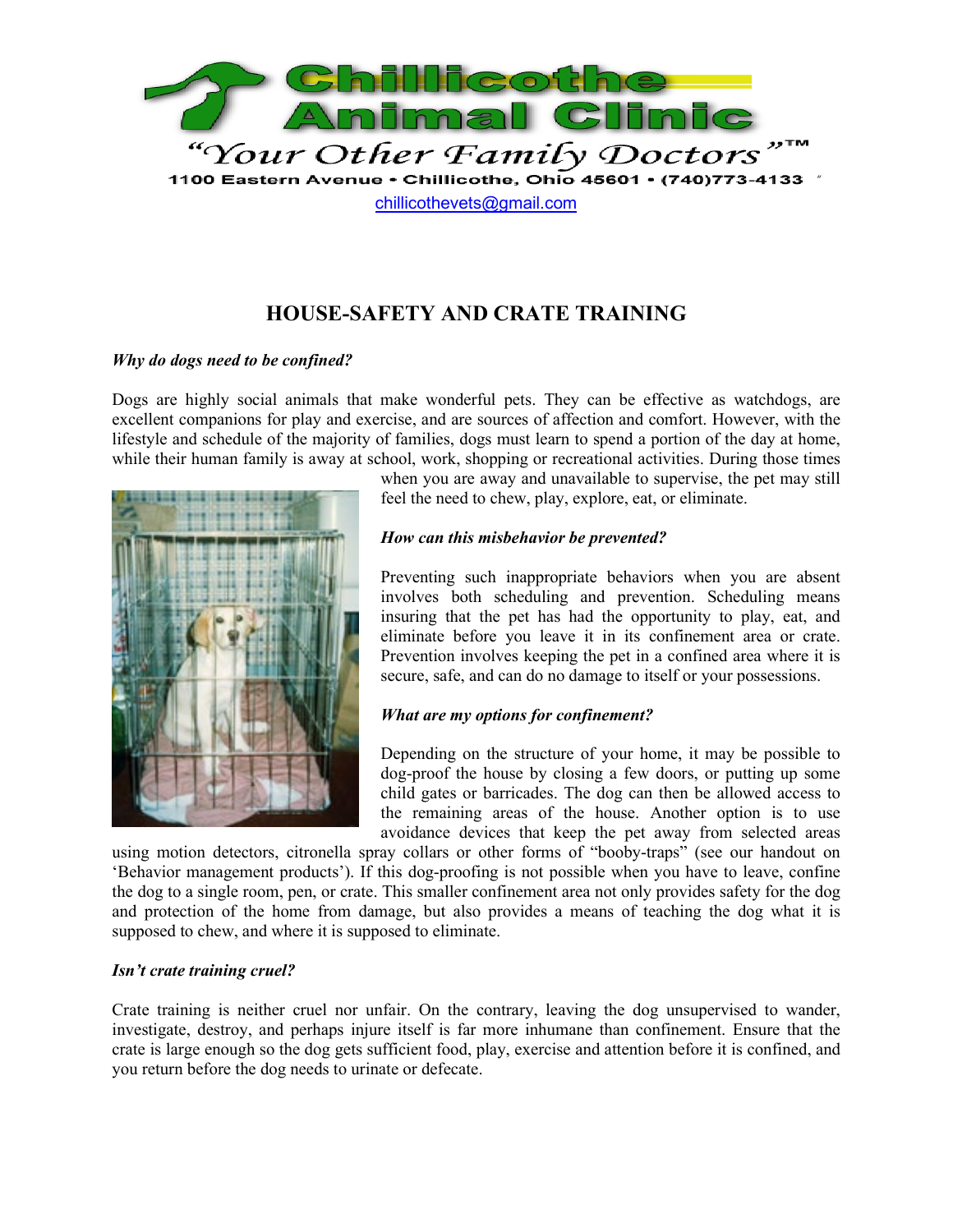

# **HOUSE-SAFETY AND CRATE TRAINING**

### *Why do dogs need to be confined?*

Dogs are highly social animals that make wonderful pets. They can be effective as watchdogs, are excellent companions for play and exercise, and are sources of affection and comfort. However, with the lifestyle and schedule of the majority of families, dogs must learn to spend a portion of the day at home, while their human family is away at school, work, shopping or recreational activities. During those times



when you are away and unavailable to supervise, the pet may still feel the need to chew, play, explore, eat, or eliminate.

# *How can this misbehavior be prevented?*

Preventing such inappropriate behaviors when you are absent involves both scheduling and prevention. Scheduling means insuring that the pet has had the opportunity to play, eat, and eliminate before you leave it in its confinement area or crate. Prevention involves keeping the pet in a confined area where it is secure, safe, and can do no damage to itself or your possessions.

### *What are my options for confinement?*

Depending on the structure of your home, it may be possible to dog-proof the house by closing a few doors, or putting up some child gates or barricades. The dog can then be allowed access to the remaining areas of the house. Another option is to use avoidance devices that keep the pet away from selected areas

using motion detectors, citronella spray collars or other forms of "booby-traps" (see our handout on 'Behavior management products'). If this dog-proofing is not possible when you have to leave, confine the dog to a single room, pen, or crate. This smaller confinement area not only provides safety for the dog and protection of the home from damage, but also provides a means of teaching the dog what it is supposed to chew, and where it is supposed to eliminate.

### *Isn't crate training cruel?*

Crate training is neither cruel nor unfair. On the contrary, leaving the dog unsupervised to wander, investigate, destroy, and perhaps injure itself is far more inhumane than confinement. Ensure that the crate is large enough so the dog gets sufficient food, play, exercise and attention before it is confined, and you return before the dog needs to urinate or defecate.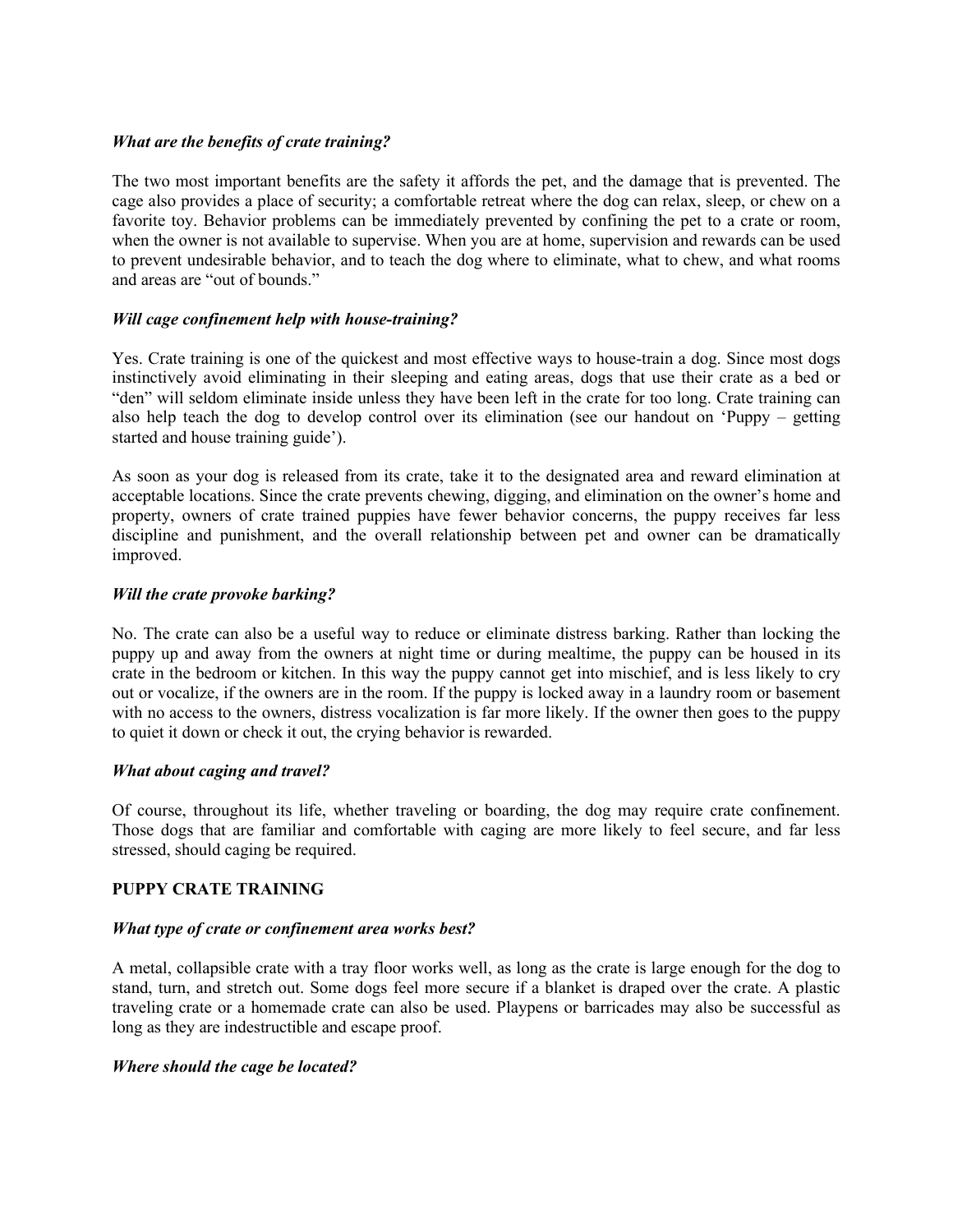### *What are the benefits of crate training?*

The two most important benefits are the safety it affords the pet, and the damage that is prevented. The cage also provides a place of security; a comfortable retreat where the dog can relax, sleep, or chew on a favorite toy. Behavior problems can be immediately prevented by confining the pet to a crate or room, when the owner is not available to supervise. When you are at home, supervision and rewards can be used to prevent undesirable behavior, and to teach the dog where to eliminate, what to chew, and what rooms and areas are "out of bounds."

# *Will cage confinement help with house-training?*

Yes. Crate training is one of the quickest and most effective ways to house-train a dog. Since most dogs instinctively avoid eliminating in their sleeping and eating areas, dogs that use their crate as a bed or "den" will seldom eliminate inside unless they have been left in the crate for too long. Crate training can also help teach the dog to develop control over its elimination (see our handout on 'Puppy – getting started and house training guide').

As soon as your dog is released from its crate, take it to the designated area and reward elimination at acceptable locations. Since the crate prevents chewing, digging, and elimination on the owner's home and property, owners of crate trained puppies have fewer behavior concerns, the puppy receives far less discipline and punishment, and the overall relationship between pet and owner can be dramatically improved.

# *Will the crate provoke barking?*

No. The crate can also be a useful way to reduce or eliminate distress barking. Rather than locking the puppy up and away from the owners at night time or during mealtime, the puppy can be housed in its crate in the bedroom or kitchen. In this way the puppy cannot get into mischief, and is less likely to cry out or vocalize, if the owners are in the room. If the puppy is locked away in a laundry room or basement with no access to the owners, distress vocalization is far more likely. If the owner then goes to the puppy to quiet it down or check it out, the crying behavior is rewarded.

### *What about caging and travel?*

Of course, throughout its life, whether traveling or boarding, the dog may require crate confinement. Those dogs that are familiar and comfortable with caging are more likely to feel secure, and far less stressed, should caging be required.

# **PUPPY CRATE TRAINING**

### *What type of crate or confinement area works best?*

A metal, collapsible crate with a tray floor works well, as long as the crate is large enough for the dog to stand, turn, and stretch out. Some dogs feel more secure if a blanket is draped over the crate. A plastic traveling crate or a homemade crate can also be used. Playpens or barricades may also be successful as long as they are indestructible and escape proof.

### *Where should the cage be located?*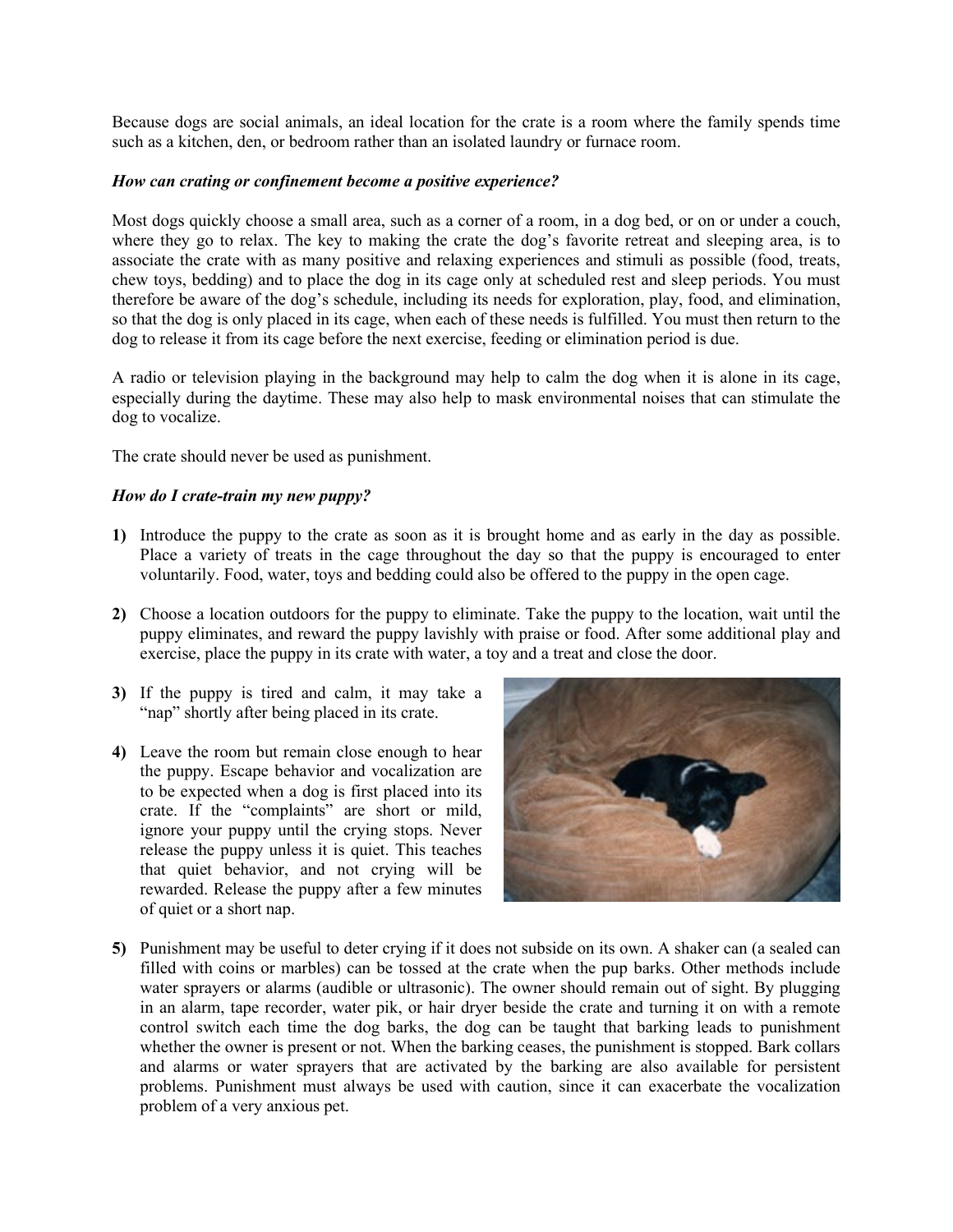Because dogs are social animals, an ideal location for the crate is a room where the family spends time such as a kitchen, den, or bedroom rather than an isolated laundry or furnace room.

#### *How can crating or confinement become a positive experience?*

Most dogs quickly choose a small area, such as a corner of a room, in a dog bed, or on or under a couch, where they go to relax. The key to making the crate the dog's favorite retreat and sleeping area, is to associate the crate with as many positive and relaxing experiences and stimuli as possible (food, treats, chew toys, bedding) and to place the dog in its cage only at scheduled rest and sleep periods. You must therefore be aware of the dog's schedule, including its needs for exploration, play, food, and elimination, so that the dog is only placed in its cage, when each of these needs is fulfilled. You must then return to the dog to release it from its cage before the next exercise, feeding or elimination period is due.

A radio or television playing in the background may help to calm the dog when it is alone in its cage, especially during the daytime. These may also help to mask environmental noises that can stimulate the dog to vocalize.

The crate should never be used as punishment.

#### *How do I crate-train my new puppy?*

- **1)** Introduce the puppy to the crate as soon as it is brought home and as early in the day as possible. Place a variety of treats in the cage throughout the day so that the puppy is encouraged to enter voluntarily. Food, water, toys and bedding could also be offered to the puppy in the open cage.
- **2)** Choose a location outdoors for the puppy to eliminate. Take the puppy to the location, wait until the puppy eliminates, and reward the puppy lavishly with praise or food. After some additional play and exercise, place the puppy in its crate with water, a toy and a treat and close the door.
- **3)** If the puppy is tired and calm, it may take a "nap" shortly after being placed in its crate.
- **4)** Leave the room but remain close enough to hear the puppy. Escape behavior and vocalization are to be expected when a dog is first placed into its crate. If the "complaints" are short or mild, ignore your puppy until the crying stops. Never release the puppy unless it is quiet. This teaches that quiet behavior, and not crying will be rewarded. Release the puppy after a few minutes of quiet or a short nap.



**5)** Punishment may be useful to deter crying if it does not subside on its own. A shaker can (a sealed can filled with coins or marbles) can be tossed at the crate when the pup barks. Other methods include water sprayers or alarms (audible or ultrasonic). The owner should remain out of sight. By plugging in an alarm, tape recorder, water pik, or hair dryer beside the crate and turning it on with a remote control switch each time the dog barks, the dog can be taught that barking leads to punishment whether the owner is present or not. When the barking ceases, the punishment is stopped. Bark collars and alarms or water sprayers that are activated by the barking are also available for persistent problems. Punishment must always be used with caution, since it can exacerbate the vocalization problem of a very anxious pet.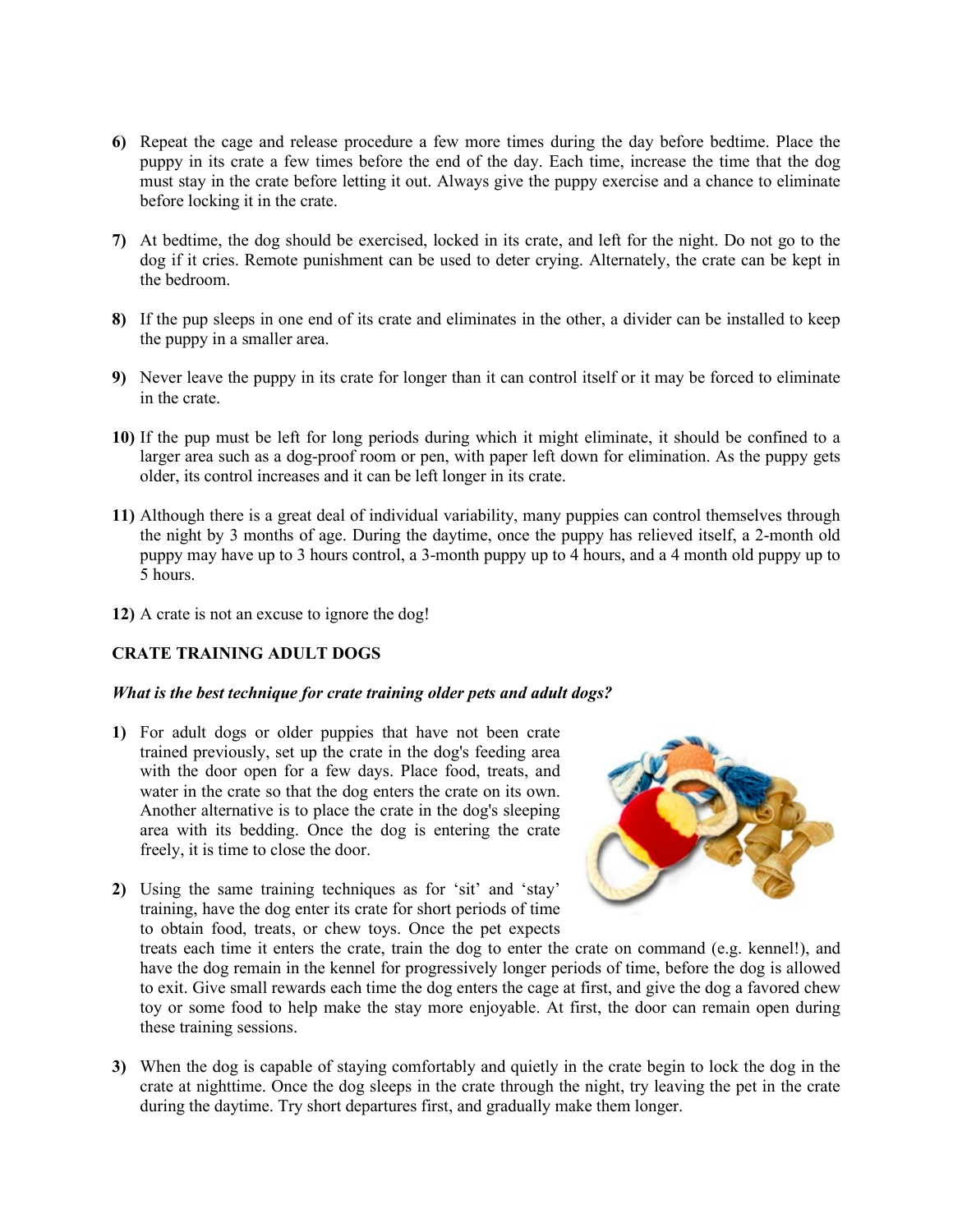- **6)** Repeat the cage and release procedure a few more times during the day before bedtime. Place the puppy in its crate a few times before the end of the day. Each time, increase the time that the dog must stay in the crate before letting it out. Always give the puppy exercise and a chance to eliminate before locking it in the crate.
- **7)** At bedtime, the dog should be exercised, locked in its crate, and left for the night. Do not go to the dog if it cries. Remote punishment can be used to deter crying. Alternately, the crate can be kept in the bedroom.
- **8)** If the pup sleeps in one end of its crate and eliminates in the other, a divider can be installed to keep the puppy in a smaller area.
- **9)** Never leave the puppy in its crate for longer than it can control itself or it may be forced to eliminate in the crate.
- **10)** If the pup must be left for long periods during which it might eliminate, it should be confined to a larger area such as a dog-proof room or pen, with paper left down for elimination. As the puppy gets older, its control increases and it can be left longer in its crate.
- **11)** Although there is a great deal of individual variability, many puppies can control themselves through the night by 3 months of age. During the daytime, once the puppy has relieved itself, a 2-month old puppy may have up to 3 hours control, a 3-month puppy up to 4 hours, and a 4 month old puppy up to 5 hours.
- **12)** A crate is not an excuse to ignore the dog!

### **CRATE TRAINING ADULT DOGS**

#### *What is the best technique for crate training older pets and adult dogs?*

- **1)** For adult dogs or older puppies that have not been crate trained previously, set up the crate in the dog's feeding area with the door open for a few days. Place food, treats, and water in the crate so that the dog enters the crate on its own. Another alternative is to place the crate in the dog's sleeping area with its bedding. Once the dog is entering the crate freely, it is time to close the door.
- **2)** Using the same training techniques as for 'sit' and 'stay' training, have the dog enter its crate for short periods of time to obtain food, treats, or chew toys. Once the pet expects



treats each time it enters the crate, train the dog to enter the crate on command (e.g. kennel!), and have the dog remain in the kennel for progressively longer periods of time, before the dog is allowed to exit. Give small rewards each time the dog enters the cage at first, and give the dog a favored chew toy or some food to help make the stay more enjoyable. At first, the door can remain open during these training sessions.

**3)** When the dog is capable of staying comfortably and quietly in the crate begin to lock the dog in the crate at nighttime. Once the dog sleeps in the crate through the night, try leaving the pet in the crate during the daytime. Try short departures first, and gradually make them longer.